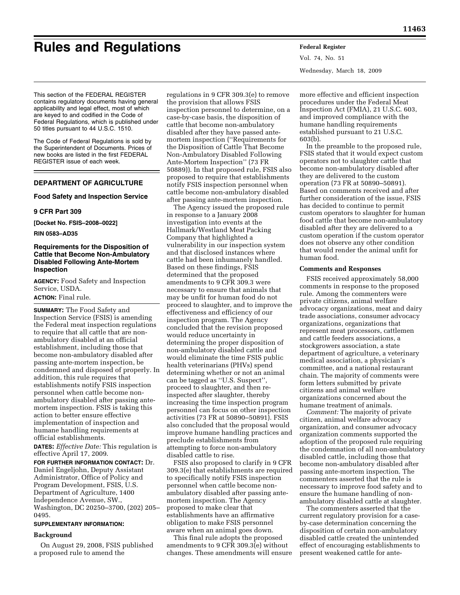# **Rules and Regulations Federal Register**

Vol. 74, No. 51 Wednesday, March 18, 2009

This section of the FEDERAL REGISTER contains regulatory documents having general applicability and legal effect, most of which are keyed to and codified in the Code of Federal Regulations, which is published under 50 titles pursuant to 44 U.S.C. 1510.

The Code of Federal Regulations is sold by the Superintendent of Documents. Prices of new books are listed in the first FEDERAL REGISTER issue of each week.

# **DEPARTMENT OF AGRICULTURE**

## **Food Safety and Inspection Service**

#### **9 CFR Part 309**

**[Docket No. FSIS–2008–0022]** 

#### **RIN 0583–AD35**

# **Requirements for the Disposition of Cattle that Become Non-Ambulatory Disabled Following Ante-Mortem Inspection**

**AGENCY:** Food Safety and Inspection Service, USDA.

# **ACTION:** Final rule.

**SUMMARY:** The Food Safety and Inspection Service (FSIS) is amending the Federal meat inspection regulations to require that all cattle that are nonambulatory disabled at an official establishment, including those that become non-ambulatory disabled after passing ante-mortem inspection, be condemned and disposed of properly. In addition, this rule requires that establishments notify FSIS inspection personnel when cattle become nonambulatory disabled after passing antemortem inspection. FSIS is taking this action to better ensure effective implementation of inspection and humane handling requirements at official establishments.

**DATES:** *Effective Date:* This regulation is effective April 17, 2009.

**FOR FURTHER INFORMATION CONTACT:** Dr. Daniel Engeljohn, Deputy Assistant Administrator, Office of Policy and Program Development, FSIS, U.S. Department of Agriculture, 1400 Independence Avenue, SW., Washington, DC 20250–3700, (202) 205– 0495.

# **SUPPLEMENTARY INFORMATION:**

## **Background**

On August 29, 2008, FSIS published a proposed rule to amend the

regulations in 9 CFR 309.3(e) to remove the provision that allows FSIS inspection personnel to determine, on a case-by-case basis, the disposition of cattle that become non-ambulatory disabled after they have passed antemortem inspection (''Requirements for the Disposition of Cattle That Become Non-Ambulatory Disabled Following Ante-Mortem Inspection'' (73 FR 50889)). In that proposed rule, FSIS also proposed to require that establishments notify FSIS inspection personnel when cattle become non-ambulatory disabled after passing ante-mortem inspection.

The Agency issued the proposed rule in response to a January 2008 investigation into events at the Hallmark/Westland Meat Packing Company that highlighted a vulnerability in our inspection system and that disclosed instances where cattle had been inhumanely handled. Based on these findings, FSIS determined that the proposed amendments to 9 CFR 309.3 were necessary to ensure that animals that may be unfit for human food do not proceed to slaughter, and to improve the effectiveness and efficiency of our inspection program. The Agency concluded that the revision proposed would reduce uncertainty in determining the proper disposition of non-ambulatory disabled cattle and would eliminate the time FSIS public health veterinarians (PHVs) spend determining whether or not an animal can be tagged as ''U.S. Suspect'', proceed to slaughter, and then reinspected after slaughter, thereby increasing the time inspection program personnel can focus on other inspection activities (73 FR at 50890–50891). FSIS also concluded that the proposal would improve humane handling practices and preclude establishments from attempting to force non-ambulatory disabled cattle to rise.

FSIS also proposed to clarify in 9 CFR 309.3(e) that establishments are required to specifically notify FSIS inspection personnel when cattle become nonambulatory disabled after passing antemortem inspection. The Agency proposed to make clear that establishments have an affirmative obligation to make FSIS personnel aware when an animal goes down.

This final rule adopts the proposed amendments to 9 CFR 309.3(e) without changes. These amendments will ensure more effective and efficient inspection procedures under the Federal Meat Inspection Act (FMIA), 21 U.S.C. 603, and improved compliance with the humane handling requirements established pursuant to 21 U.S.C. 603(b).

In the preamble to the proposed rule, FSIS stated that it would expect custom operators not to slaughter cattle that become non-ambulatory disabled after they are delivered to the custom operation (73 FR at 50890–50891). Based on comments received and after further consideration of the issue, FSIS has decided to continue to permit custom operators to slaughter for human food cattle that become non-ambulatory disabled after they are delivered to a custom operation if the custom operator does not observe any other condition that would render the animal unfit for human food.

#### **Comments and Responses**

FSIS received approximately 58,000 comments in response to the proposed rule. Among the commenters were private citizens, animal welfare advocacy organizations, meat and dairy trade associations, consumer advocacy organizations, organizations that represent meat processors, cattlemen and cattle feeders associations, a stockgrowers association, a state department of agriculture, a veterinary medical association, a physician's committee, and a national restaurant chain. The majority of comments were form letters submitted by private citizens and animal welfare organizations concerned about the humane treatment of animals.

*Comment:* The majority of private citizen, animal welfare advocacy organization, and consumer advocacy organization comments supported the adoption of the proposed rule requiring the condemnation of all non-ambulatory disabled cattle, including those that become non-ambulatory disabled after passing ante-mortem inspection. The commenters asserted that the rule is necessary to improve food safety and to ensure the humane handling of nonambulatory disabled cattle at slaughter.

The commenters asserted that the current regulatory provision for a caseby-case determination concerning the disposition of certain non-ambulatory disabled cattle created the unintended effect of encouraging establishments to present weakened cattle for ante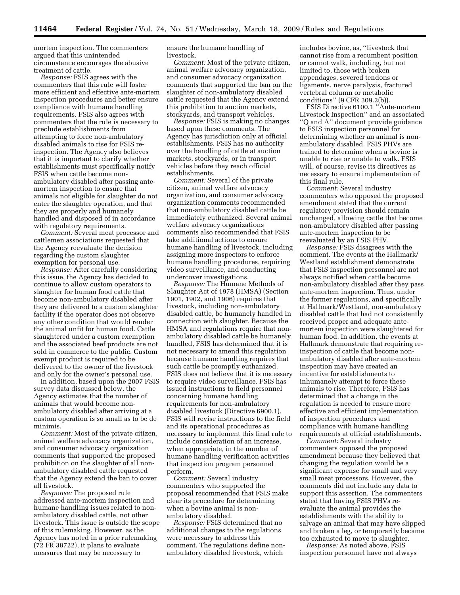mortem inspection. The commenters argued that this unintended circumstance encourages the abusive treatment of cattle.

*Response:* FSIS agrees with the commenters that this rule will foster more efficient and effective ante-mortem inspection procedures and better ensure compliance with humane handling requirements. FSIS also agrees with commenters that the rule is necessary to preclude establishments from attempting to force non-ambulatory disabled animals to rise for FSIS reinspection. The Agency also believes that it is important to clarify whether establishments must specifically notify FSIS when cattle become nonambulatory disabled after passing antemortem inspection to ensure that animals not eligible for slaughter do not enter the slaughter operation, and that they are properly and humanely handled and disposed of in accordance with regulatory requirements.

*Comment:* Several meat processor and cattlemen associations requested that the Agency reevaluate the decision regarding the custom slaughter exemption for personal use.

*Response:* After carefully considering this issue, the Agency has decided to continue to allow custom operators to slaughter for human food cattle that become non-ambulatory disabled after they are delivered to a custom slaughter facility if the operator does not observe any other condition that would render the animal unfit for human food. Cattle slaughtered under a custom exemption and the associated beef products are not sold in commerce to the public. Custom exempt product is required to be delivered to the owner of the livestock and only for the owner's personal use.

In addition, based upon the 2007 FSIS survey data discussed below, the Agency estimates that the number of animals that would become nonambulatory disabled after arriving at a custom operation is so small as to be de minimis.

*Comment:* Most of the private citizen, animal welfare advocacy organization, and consumer advocacy organization comments that supported the proposed prohibition on the slaughter of all nonambulatory disabled cattle requested that the Agency extend the ban to cover all livestock.

*Response:* The proposed rule addressed ante-mortem inspection and humane handling issues related to nonambulatory disabled cattle, not other livestock. This issue is outside the scope of this rulemaking. However, as the Agency has noted in a prior rulemaking (72 FR 38722), it plans to evaluate measures that may be necessary to

ensure the humane handling of livestock.

*Comment:* Most of the private citizen, animal welfare advocacy organization, and consumer advocacy organization comments that supported the ban on the slaughter of non-ambulatory disabled cattle requested that the Agency extend this prohibition to auction markets, stockyards, and transport vehicles.

*Response:* FSIS is making no changes based upon these comments. The Agency has jurisdiction only at official establishments. FSIS has no authority over the handling of cattle at auction markets, stockyards, or in transport vehicles before they reach official establishments.

*Comment:* Several of the private citizen, animal welfare advocacy organization, and consumer advocacy organization comments recommended that non-ambulatory disabled cattle be immediately euthanized. Several animal welfare advocacy organizations comments also recommended that FSIS take additional actions to ensure humane handling of livestock, including assigning more inspectors to enforce humane handling procedures, requiring video surveillance, and conducting undercover investigations.

*Response:* The Humane Methods of Slaughter Act of 1978 (HMSA) (Section 1901, 1902, and 1906) requires that livestock, including non-ambulatory disabled cattle, be humanely handled in connection with slaughter. Because the HMSA and regulations require that nonambulatory disabled cattle be humanely handled, FSIS has determined that it is not necessary to amend this regulation because humane handling requires that such cattle be promptly euthanized. FSIS does not believe that it is necessary to require video surveillance. FSIS has issued instructions to field personnel concerning humane handling requirements for non-ambulatory disabled livestock (Directive 6900.1). FSIS will revise instructions to the field and its operational procedures as necessary to implement this final rule to include consideration of an increase, when appropriate, in the number of humane handling verification activities that inspection program personnel perform.

*Comment:* Several industry commenters who supported the proposal recommended that FSIS make clear its procedure for determining when a bovine animal is nonambulatory disabled.

*Response:* FSIS determined that no additional changes to the regulations were necessary to address this comment. The regulations define nonambulatory disabled livestock, which

includes bovine, as, ''livestock that cannot rise from a recumbent position or cannot walk, including, but not limited to, those with broken appendages, severed tendons or ligaments, nerve paralysis, fractured vertebral column or metabolic conditions'' (9 CFR 309.2(b)).

FSIS Directive 6100.1 ''Ante-mortem Livestock Inspection'' and an associated ''Q and A'' document provide guidance to FSIS inspection personnel for determining whether an animal is nonambulatory disabled. FSIS PHVs are trained to determine when a bovine is unable to rise or unable to walk. FSIS will, of course, revise its directives as necessary to ensure implementation of this final rule.

*Comment:* Several industry commenters who opposed the proposed amendment stated that the current regulatory provision should remain unchanged, allowing cattle that become non-ambulatory disabled after passing ante-mortem inspection to be reevaluated by an FSIS PHV.

*Response:* FSIS disagrees with the comment. The events at the Hallmark/ Westland establishment demonstrate that FSIS inspection personnel are not always notified when cattle become non-ambulatory disabled after they pass ante-mortem inspection. Thus, under the former regulations, and specifically at Hallmark/Westland, non-ambulatory disabled cattle that had not consistently received proper and adequate antemortem inspection were slaughtered for human food. In addition, the events at Hallmark demonstrate that requiring reinspection of cattle that become nonambulatory disabled after ante-mortem inspection may have created an incentive for establishments to inhumanely attempt to force these animals to rise. Therefore, FSIS has determined that a change in the regulation is needed to ensure more effective and efficient implementation of inspection procedures and compliance with humane handling requirements at official establishments.

*Comment:* Several industry commenters opposed the proposed amendment because they believed that changing the regulation would be a significant expense for small and very small meat processors. However, the comments did not include any data to support this assertion. The commenters stated that having FSIS PHVs reevaluate the animal provides the establishments with the ability to salvage an animal that may have slipped and broken a leg, or temporarily became too exhausted to move to slaughter.

*Response:* As noted above, FSIS inspection personnel have not always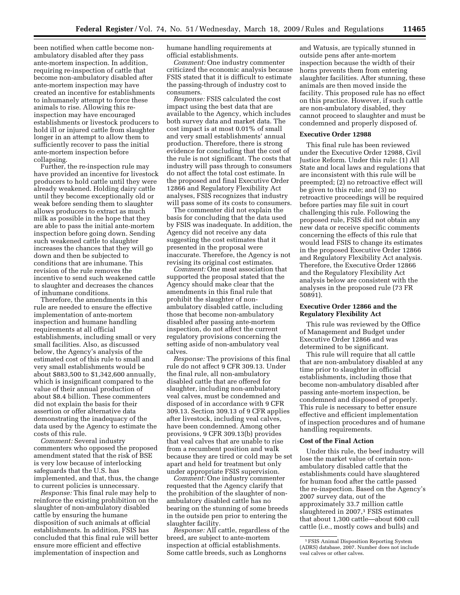been notified when cattle become nonambulatory disabled after they pass ante-mortem inspection. In addition, requiring re-inspection of cattle that become non-ambulatory disabled after ante-mortem inspection may have created an incentive for establishments to inhumanely attempt to force these animals to rise. Allowing this reinspection may have encouraged establishments or livestock producers to hold ill or injured cattle from slaughter longer in an attempt to allow them to sufficiently recover to pass the initial ante-mortem inspection before collapsing.

Further, the re-inspection rule may have provided an incentive for livestock producers to hold cattle until they were already weakened. Holding dairy cattle until they become exceptionally old or weak before sending them to slaughter allows producers to extract as much milk as possible in the hope that they are able to pass the initial ante-mortem inspection before going down. Sending such weakened cattle to slaughter increases the chances that they will go down and then be subjected to conditions that are inhumane. This revision of the rule removes the incentive to send such weakened cattle to slaughter and decreases the chances of inhumane conditions.

Therefore, the amendments in this rule are needed to ensure the effective implementation of ante-mortem inspection and humane handling requirements at all official establishments, including small or very small facilities. Also, as discussed below, the Agency's analysis of the estimated cost of this rule to small and very small establishments would be about \$883,500 to \$1,342,600 annually, which is insignificant compared to the value of their annual production of about \$8.4 billion. These commenters did not explain the basis for their assertion or offer alternative data demonstrating the inadequacy of the data used by the Agency to estimate the costs of this rule.

*Comment:* Several industry commenters who opposed the proposed amendment stated that the risk of BSE is very low because of interlocking safeguards that the U.S. has implemented, and that, thus, the change to current policies is unnecessary.

*Response:* This final rule may help to reinforce the existing prohibition on the slaughter of non-ambulatory disabled cattle by ensuring the humane disposition of such animals at official establishments. In addition, FSIS has concluded that this final rule will better ensure more efficient and effective implementation of inspection and

humane handling requirements at official establishments.

*Comment:* One industry commenter criticized the economic analysis because FSIS stated that it is difficult to estimate the passing-through of industry cost to consumers.

*Response:* FSIS calculated the cost impact using the best data that are available to the Agency, which includes both survey data and market data. The cost impact is at most 0.01% of small and very small establishments' annual production. Therefore, there is strong evidence for concluding that the cost of the rule is not significant. The costs that industry will pass through to consumers do not affect the total cost estimate. In the proposed and final Executive Order 12866 and Regulatory Flexibility Act analyses, FSIS recognizes that industry will pass some of its costs to consumers.

The commenter did not explain the basis for concluding that the data used by FSIS was inadequate. In addition, the Agency did not receive any data suggesting the cost estimates that it presented in the proposal were inaccurate. Therefore, the Agency is not revising its original cost estimates.

*Comment:* One meat association that supported the proposal stated that the Agency should make clear that the amendments in this final rule that prohibit the slaughter of nonambulatory disabled cattle, including those that become non-ambulatory disabled after passing ante-mortem inspection, do not affect the current regulatory provisions concerning the setting aside of non-ambulatory veal calves.

*Response:* The provisions of this final rule do not affect 9 CFR 309.13. Under the final rule, all non-ambulatory disabled cattle that are offered for slaughter, including non-ambulatory veal calves, must be condemned and disposed of in accordance with 9 CFR 309.13. Section 309.13 of 9 CFR applies after livestock, including veal calves, have been condemned. Among other provisions, 9 CFR 309.13(b) provides that veal calves that are unable to rise from a recumbent position and walk because they are tired or cold may be set apart and held for treatment but only under appropriate FSIS supervision.

*Comment:* One industry commenter requested that the Agency clarify that the prohibition of the slaughter of nonambulatory disabled cattle has no bearing on the stunning of some breeds in the outside pen prior to entering the slaughter facility.

*Response:* All cattle, regardless of the breed, are subject to ante-mortem inspection at official establishments. Some cattle breeds, such as Longhorns

and Watusis, are typically stunned in outside pens after ante-mortem inspection because the width of their horns prevents them from entering slaughter facilities. After stunning, these animals are then moved inside the facility. This proposed rule has no effect on this practice. However, if such cattle are non-ambulatory disabled, they cannot proceed to slaughter and must be condemned and properly disposed of.

#### **Executive Order 12988**

This final rule has been reviewed under the Executive Order 12988, Civil Justice Reform. Under this rule: (1) All State and local laws and regulations that are inconsistent with this rule will be preempted; (2) no retroactive effect will be given to this rule; and (3) no retroactive proceedings will be required before parties may file suit in court challenging this rule. Following the proposed rule, FSIS did not obtain any new data or receive specific comments concerning the effects of this rule that would lead FSIS to change its estimates in the proposed Executive Order 12866 and Regulatory Flexibility Act analysis. Therefore, the Executive Order 12866 and the Regulatory Flexibility Act analysis below are consistent with the analyses in the proposed rule (73 FR 50891).

## **Executive Order 12866 and the Regulatory Flexibility Act**

This rule was reviewed by the Office of Management and Budget under Executive Order 12866 and was determined to be significant.

This rule will require that all cattle that are non-ambulatory disabled at any time prior to slaughter in official establishments, including those that become non-ambulatory disabled after passing ante-mortem inspection, be condemned and disposed of properly. This rule is necessary to better ensure effective and efficient implementation of inspection procedures and of humane handling requirements.

#### **Cost of the Final Action**

Under this rule, the beef industry will lose the market value of certain nonambulatory disabled cattle that the establishments could have slaughtered for human food after the cattle passed the re-inspection. Based on the Agency's 2007 survey data, out of the approximately 33.7 million cattle slaughtered in 2007,<sup>1</sup> FSIS estimates that about 1,300 cattle—about 600 cull cattle (i.e., mostly cows and bulls) and

<sup>1</sup>FSIS Animal Disposition Reporting System (ADRS) database, 2007. Number does not include veal calves or other calves.